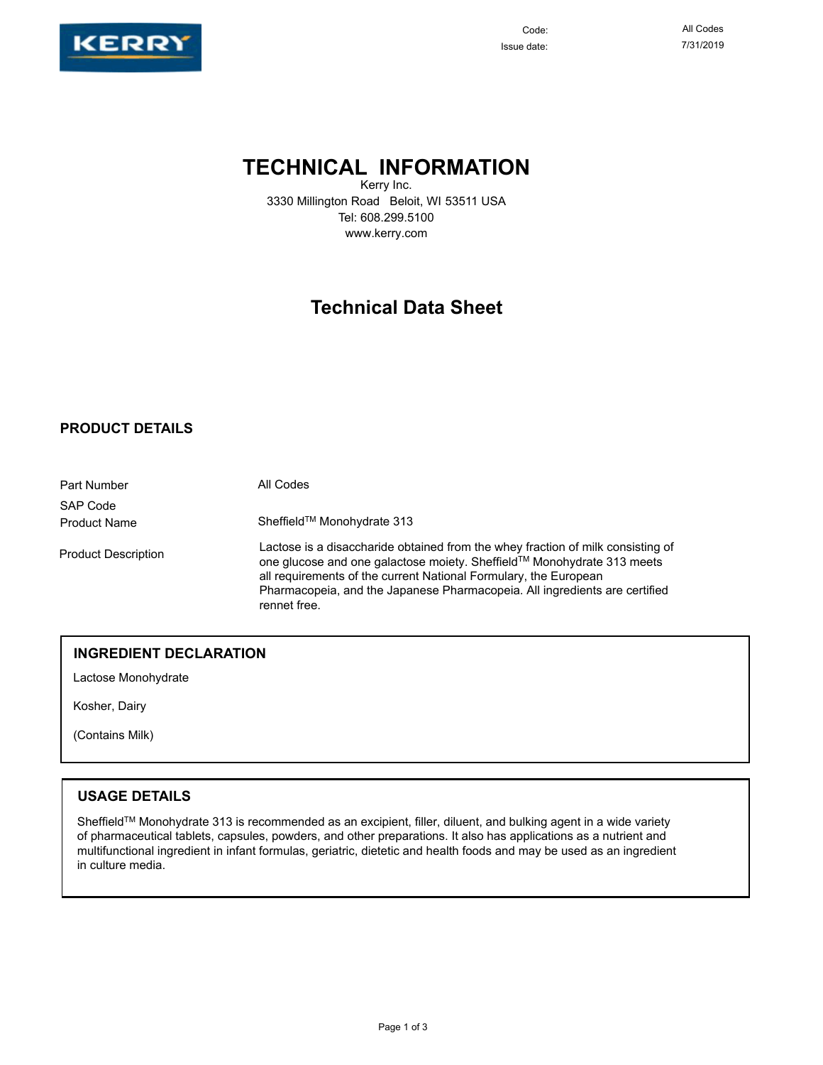

Code: Issue date: 7/31/2019

## **TECHNICAL INFORMATION**

Kerry Inc. 3330 Millington Road Beloit, WI 53511 USA Tel: 608.299.5100 www.kerry.com

## **Technical Data Sheet**

### **PRODUCT DETAILS**

| <b>Part Number</b>         | All Codes                                                                                                                                                                                                                                                                                                                   |
|----------------------------|-----------------------------------------------------------------------------------------------------------------------------------------------------------------------------------------------------------------------------------------------------------------------------------------------------------------------------|
| SAP Code                   |                                                                                                                                                                                                                                                                                                                             |
| <b>Product Name</b>        | Sheffield™ Monohydrate 313                                                                                                                                                                                                                                                                                                  |
| <b>Product Description</b> | Lactose is a disaccharide obtained from the whey fraction of milk consisting of<br>one glucose and one galactose moiety. Sheffield™ Monohydrate 313 meets<br>all requirements of the current National Formulary, the European<br>Pharmacopeia, and the Japanese Pharmacopeia. All ingredients are certified<br>rennet free. |

#### **INGREDIENT DECLARATION**

Lactose Monohydrate

Kosher, Dairy

(Contains Milk)

#### **USAGE DETAILS**

Sheffield™ Monohydrate 313 is recommended as an excipient, filler, diluent, and bulking agent in a wide variety of pharmaceutical tablets, capsules, powders, and other preparations. It also has applications as a nutrient and multifunctional ingredient in infant formulas, geriatric, dietetic and health foods and may be used as an ingredient in culture media.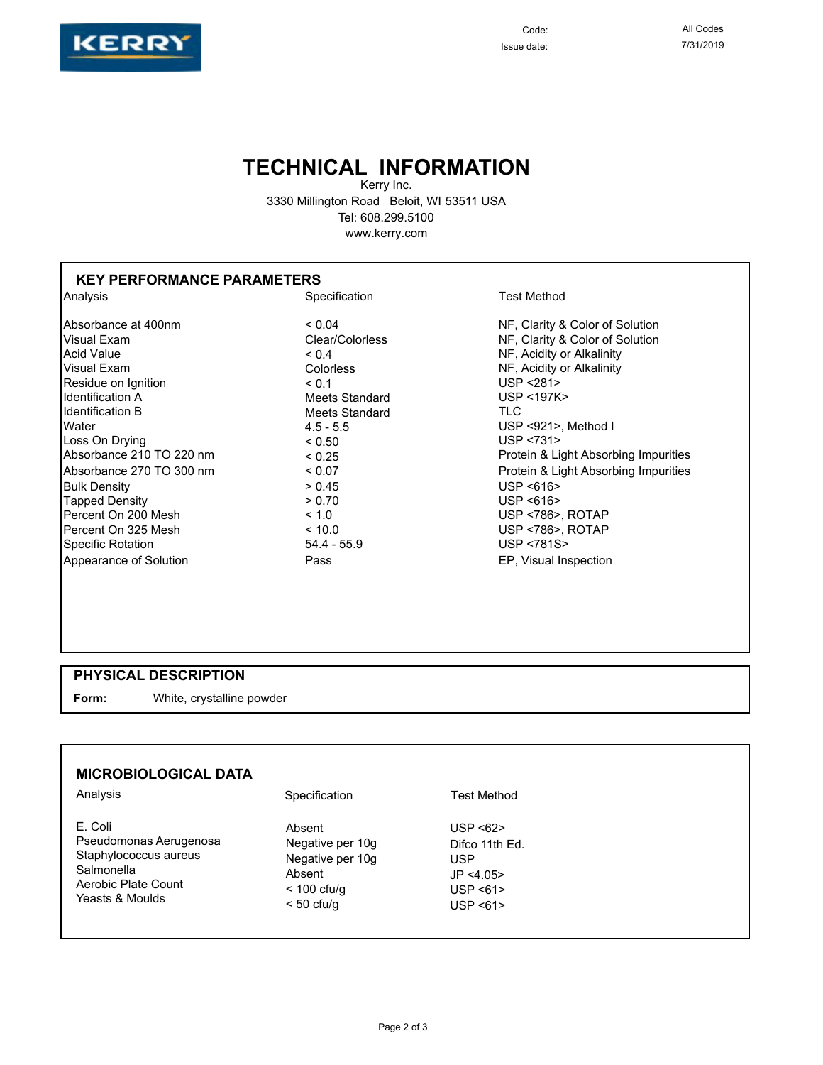

# **TECHNICAL INFORMATION**

Kerry Inc. 3330 Millington Road Beloit, WI 53511 USA Tel: 608.299.5100 www.kerry.com

### **KEY PERFORMANCE PARAMETERS**

| Analysis                  | Specification    | <b>Test Method</b>                   |
|---------------------------|------------------|--------------------------------------|
| IAbsorbance at 400nm      | ${}_{0.04}$      | NF, Clarity & Color of Solution      |
| Visual Exam               | Clear/Colorless  | NF, Clarity & Color of Solution      |
| IAcid Value               | ${}_{0.4}$       | NF, Acidity or Alkalinity            |
| <b>Visual Exam</b>        | <b>Colorless</b> | NF, Acidity or Alkalinity            |
| Residue on Ignition       | < 0.1            | USP < 281                            |
| <b>I</b> dentification A  | Meets Standard   | USP <197K>                           |
| <b>I</b> dentification B  | Meets Standard   | TLC.                                 |
| <b>Water</b>              | $4.5 - 5.5$      | USP <921>, Method I                  |
| Loss On Drying            | < 0.50           | USP $\leq$ 731 $>$                   |
| Absorbance 210 TO 220 nm  | < 0.25           | Protein & Light Absorbing Impurities |
| IAbsorbance 270 TO 300 nm | ${}_{0.07}$      | Protein & Light Absorbing Impurities |
| <b>Bulk Density</b>       | > 0.45           | USP $<616>$                          |
| Tapped Density            | > 0.70           | USP $<616>$                          |
| Percent On 200 Mesh       | ~1.0             | USP <786>, ROTAP                     |
| Percent On 325 Mesh       | ~10.0            | USP <786>, ROTAP                     |
| Specific Rotation         | $54.4 - 55.9$    | USP <781S>                           |
| Appearance of Solution    | Pass             | EP, Visual Inspection                |

### **PHYSICAL DESCRIPTION**

**Form:** White, crystalline powder

| <b>MICROBIOLOGICAL DATA</b>                                                                                        |                                                                                           |                                                                               |  |  |
|--------------------------------------------------------------------------------------------------------------------|-------------------------------------------------------------------------------------------|-------------------------------------------------------------------------------|--|--|
| Analysis                                                                                                           | Specification                                                                             | <b>Test Method</b>                                                            |  |  |
| E. Coli<br>Pseudomonas Aerugenosa<br>Staphylococcus aureus<br>Salmonella<br>Aerobic Plate Count<br>Yeasts & Moulds | Absent<br>Negative per 10g<br>Negative per 10g<br>Absent<br>$<$ 100 cfu/g<br>$< 50$ cfu/g | USP < 62<br>Difco 11th Ed.<br><b>USP</b><br>JP < 4.05<br>USP < 61<br>USP < 61 |  |  |